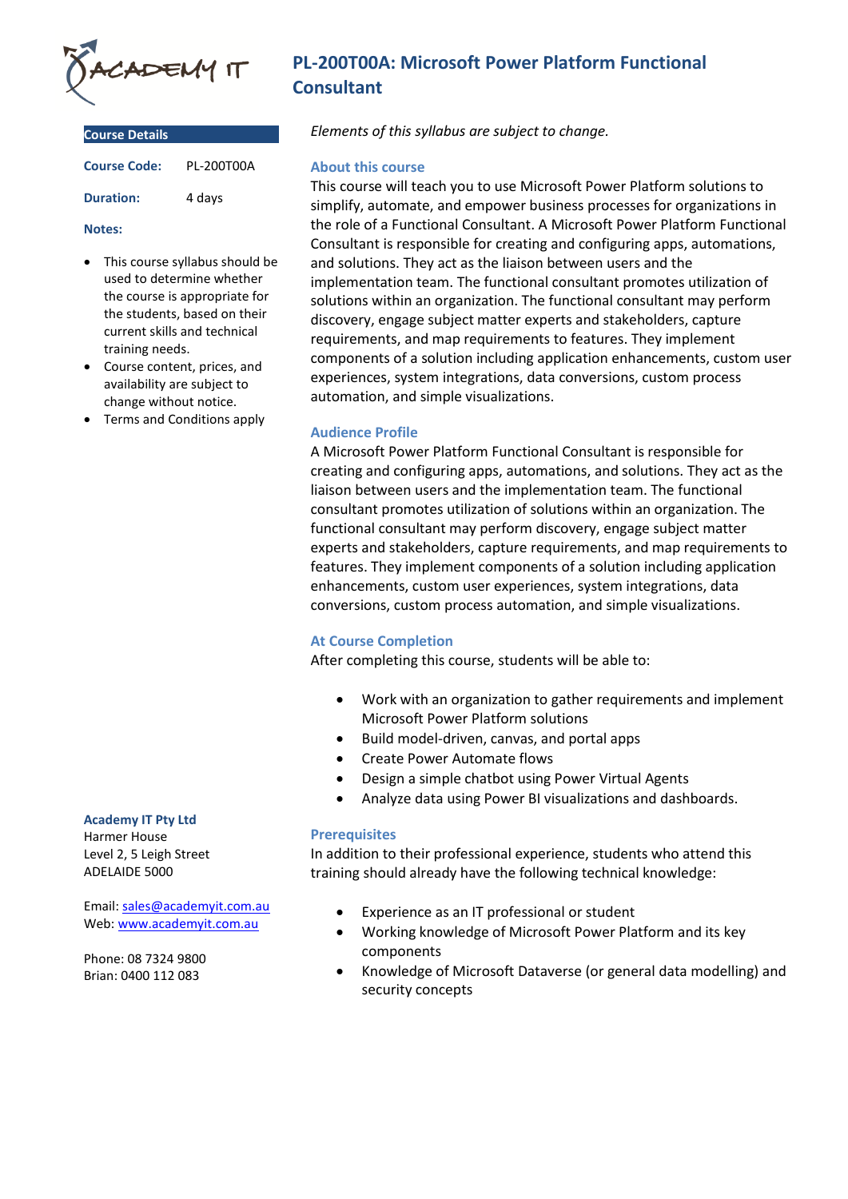

| <b>Course Details</b> |            |
|-----------------------|------------|
| <b>Course Code:</b>   | PI-200T00A |
| <b>Duration:</b>      | 4 days     |

#### **Notes:**

- This course syllabus should be used to determine whether the course is appropriate for the students, based on their current skills and technical training needs.
- Course content, prices, and availability are subject to change without notice.
- Terms and Conditions apply

#### **Academy IT Pty Ltd**

Harmer House Level 2, 5 Leigh Street ADELAIDE 5000

Email: [sales@academyit.com.au](mailto:sales@academyit.com.au) Web: [www.academyit.com.au](http://www.academyit.com.au/)

Phone: 08 7324 9800 Brian: 0400 112 083

# **PL-200T00A: Microsoft Power Platform Functional Consultant**

*Elements of this syllabus are subject to change.*

## **About this course**

This course will teach you to use Microsoft Power Platform solutions to simplify, automate, and empower business processes for organizations in the role of a Functional Consultant. A Microsoft Power Platform Functional Consultant is responsible for creating and configuring apps, automations, and solutions. They act as the liaison between users and the implementation team. The functional consultant promotes utilization of solutions within an organization. The functional consultant may perform discovery, engage subject matter experts and stakeholders, capture requirements, and map requirements to features. They implement components of a solution including application enhancements, custom user experiences, system integrations, data conversions, custom process automation, and simple visualizations.

# **Audience Profile**

A Microsoft Power Platform Functional Consultant is responsible for creating and configuring apps, automations, and solutions. They act as the liaison between users and the implementation team. The functional consultant promotes utilization of solutions within an organization. The functional consultant may perform discovery, engage subject matter experts and stakeholders, capture requirements, and map requirements to features. They implement components of a solution including application enhancements, custom user experiences, system integrations, data conversions, custom process automation, and simple visualizations.

# **At Course Completion**

After completing this course, students will be able to:

- Work with an organization to gather requirements and implement Microsoft Power Platform solutions
- Build model-driven, canvas, and portal apps
- Create Power Automate flows
- Design a simple chatbot using Power Virtual Agents
- Analyze data using Power BI visualizations and dashboards.

# **Prerequisites**

In addition to their professional experience, students who attend this training should already have the following technical knowledge:

- Experience as an IT professional or student
- Working knowledge of Microsoft Power Platform and its key components
- Knowledge of Microsoft Dataverse (or general data modelling) and security concepts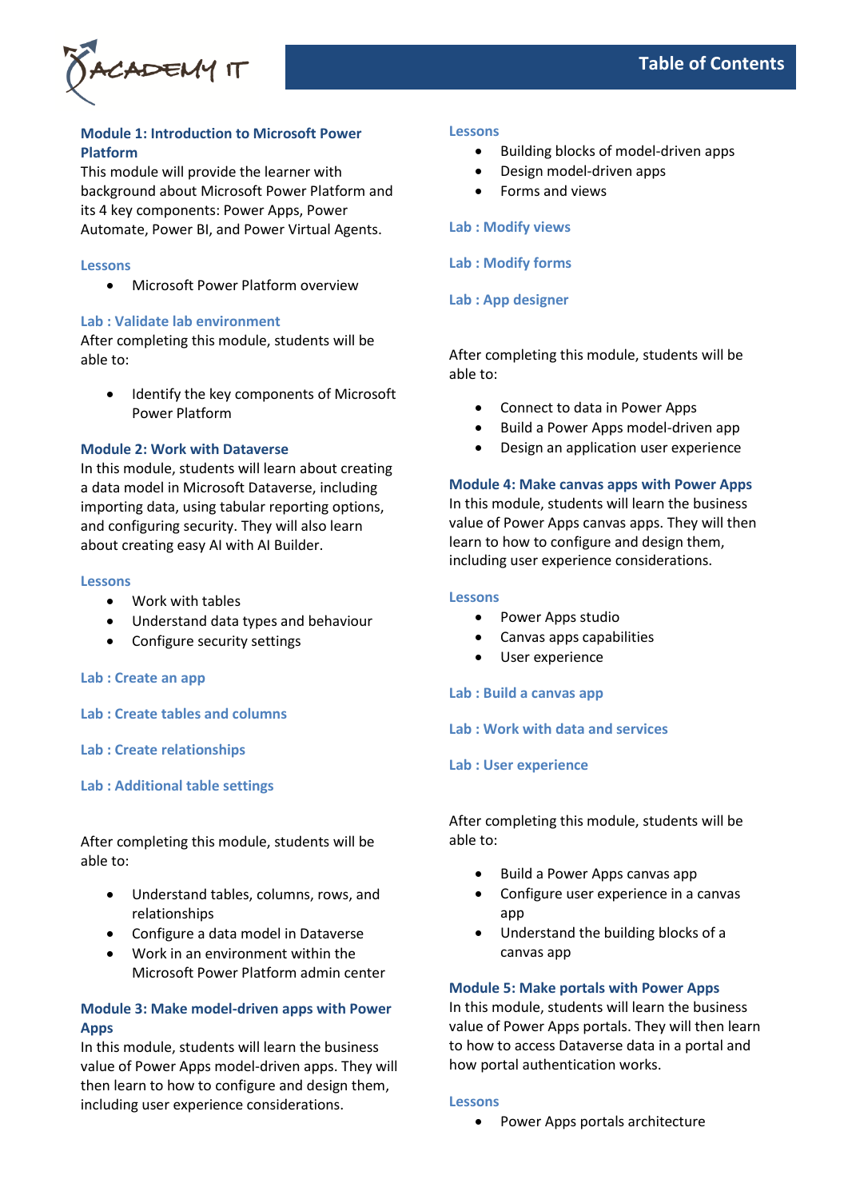

# **Module 1: Introduction to Microsoft Power Platform**

This module will provide the learner with background about Microsoft Power Platform and its 4 key components: Power Apps, Power Automate, Power BI, and Power Virtual Agents.

#### **Lessons**

• Microsoft Power Platform overview

#### **Lab : Validate lab environment**

After completing this module, students will be able to:

• Identify the key components of Microsoft Power Platform

# **Module 2: Work with Dataverse**

In this module, students will learn about creating a data model in Microsoft Dataverse, including importing data, using tabular reporting options, and configuring security. They will also learn about creating easy AI with AI Builder.

#### **Lessons**

- Work with tables
- Understand data types and behaviour
- Configure security settings

#### **Lab : Create an app**

**Lab : Create tables and columns**

**Lab : Create relationships**

**Lab : Additional table settings**

After completing this module, students will be able to:

- Understand tables, columns, rows, and relationships
- Configure a data model in Dataverse
- Work in an environment within the Microsoft Power Platform admin center

# **Module 3: Make model-driven apps with Power Apps**

In this module, students will learn the business value of Power Apps model-driven apps. They will then learn to how to configure and design them, including user experience considerations.

#### **Lessons**

- Building blocks of model-driven apps
- Design model-driven apps
- Forms and views

# **Lab : Modify views**

# **Lab : Modify forms**

## **Lab : App designer**

After completing this module, students will be able to:

- Connect to data in Power Apps
- Build a Power Apps model-driven app
- Design an application user experience

## **Module 4: Make canvas apps with Power Apps**

In this module, students will learn the business value of Power Apps canvas apps. They will then learn to how to configure and design them, including user experience considerations.

#### **Lessons**

- Power Apps studio
- Canvas apps capabilities
- User experience

#### **Lab : Build a canvas app**

#### **Lab : Work with data and services**

#### **Lab : User experience**

After completing this module, students will be able to:

- Build a Power Apps canvas app
- Configure user experience in a canvas app
- Understand the building blocks of a canvas app

#### **Module 5: Make portals with Power Apps**

In this module, students will learn the business value of Power Apps portals. They will then learn to how to access Dataverse data in a portal and how portal authentication works.

#### **Lessons**

• Power Apps portals architecture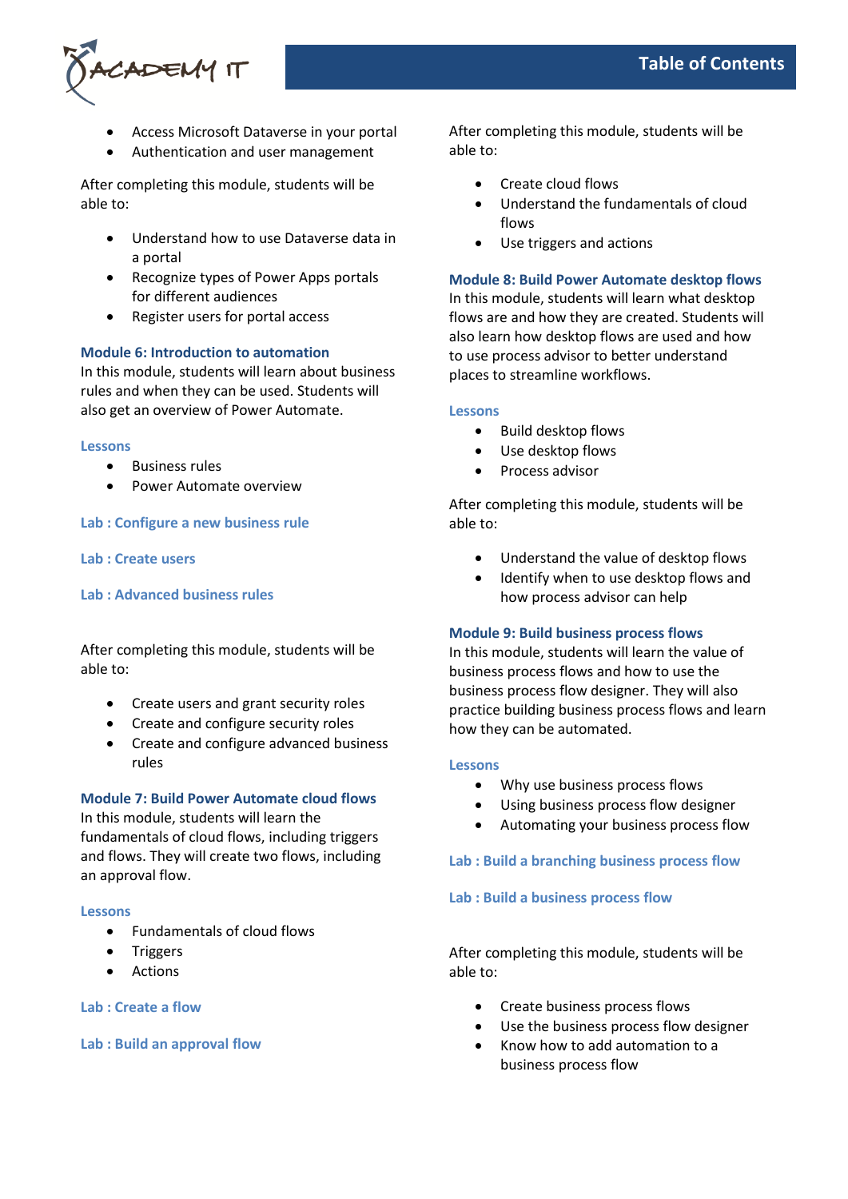

- Access Microsoft Dataverse in your portal
- Authentication and user management

After completing this module, students will be able to:

- Understand how to use Dataverse data in a portal
- Recognize types of Power Apps portals for different audiences
- Register users for portal access

## **Module 6: Introduction to automation**

In this module, students will learn about business rules and when they can be used. Students will also get an overview of Power Automate.

#### **Lessons**

- Business rules
- Power Automate overview

#### **Lab : Configure a new business rule**

**Lab : Create users**

#### **Lab : Advanced business rules**

After completing this module, students will be able to:

- Create users and grant security roles
- Create and configure security roles
- Create and configure advanced business rules

## **Module 7: Build Power Automate cloud flows**

In this module, students will learn the fundamentals of cloud flows, including triggers and flows. They will create two flows, including an approval flow.

#### **Lessons**

- Fundamentals of cloud flows
- Triggers
- Actions

# **Lab : Create a flow**

**Lab : Build an approval flow**

After completing this module, students will be able to:

- Create cloud flows
- Understand the fundamentals of cloud flows
- Use triggers and actions

# **Module 8: Build Power Automate desktop flows**

In this module, students will learn what desktop flows are and how they are created. Students will also learn how desktop flows are used and how to use process advisor to better understand places to streamline workflows.

#### **Lessons**

- Build desktop flows
- Use desktop flows
- Process advisor

After completing this module, students will be able to:

- Understand the value of desktop flows
- Identify when to use desktop flows and how process advisor can help

# **Module 9: Build business process flows**

In this module, students will learn the value of business process flows and how to use the business process flow designer. They will also practice building business process flows and learn how they can be automated.

#### **Lessons**

- Why use business process flows
- Using business process flow designer
- Automating your business process flow

# **Lab : Build a branching business process flow**

#### **Lab : Build a business process flow**

After completing this module, students will be able to:

- Create business process flows
- Use the business process flow designer
- Know how to add automation to a business process flow